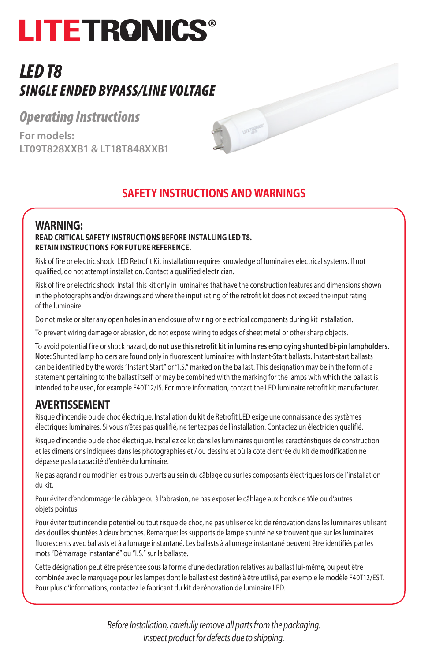# **LITETRONICS**

# *LED T8 SINGLE ENDED BYPASS/LINE VOLTAGE*

## *Operating Instructions*

**For models: LT09T828XXB1 & LT18T848XXB1**



**UTETS AND** 

### **SAFETY INSTRUCTIONS AND WARNINGS**

#### **WARNING: READ CRITICAL SAFETY INSTRUCTIONS BEFORE INSTALLING LED T8. RETAIN INSTRUCTIONS FOR FUTURE REFERENCE.**

Risk of fire or electric shock. LED Retrofit Kit installation requires knowledge of luminaires electrical systems. If not qualified, do not attempt installation. Contact a qualified electrician.

Risk of fire or electric shock. Install this kit only in luminaires that have the construction features and dimensions shown in the photographs and/or drawings and where the input rating of the retrofit kit does not exceed the input rating of the luminaire.

Do not make or alter any open holes in an enclosure of wiring or electrical components during kit installation.

To prevent wiring damage or abrasion, do not expose wiring to edges of sheet metal or other sharp objects.

To avoid potential fire or shock hazard, **do not use this retrofit kit in luminaires employing shunted bi-pin lampholders. Note:** Shunted lamp holders are found only in fluorescent luminaires with Instant-Start ballasts. Instant-start ballasts can be identified by the words "Instant Start" or "I.S." marked on the ballast. This designation may be in the form of a statement pertaining to the ballast itself, or may be combined with the marking for the lamps with which the ballast is intended to be used, for example F40T12/IS. For more information, contact the LED luminaire retrofit kit manufacturer.

### **AVERTISSEMENT**

Risque d'incendie ou de choc électrique. Installation du kit de Retrofit LED exige une connaissance des systèmes électriques luminaires. Si vous n'êtes pas qualifié, ne tentez pas de l'installation. Contactez un électricien qualifié.

Risque d'incendie ou de choc électrique. Installez ce kit dans les luminaires qui ont les caractéristiques de construction et les dimensions indiquées dans les photographies et / ou dessins et où la cote d'entrée du kit de modification ne dépasse pas la capacité d'entrée du luminaire.

Ne pas agrandir ou modifier les trous ouverts au sein du câblage ou sur les composants électriques lors de l'installation du kit.

Pour éviter d'endommager le câblage ou à l'abrasion, ne pas exposer le câblage aux bords de tôle ou d'autres objets pointus.

Pour éviter tout incendie potentiel ou tout risque de choc, ne pas utiliser ce kit de rénovation dans les luminaires utilisant des douilles shuntées à deux broches. Remarque: les supports de lampe shunté ne se trouvent que sur les luminaires fluorescents avec ballasts et à allumage instantané. Les ballasts à allumage instantané peuvent être identifiés par les mots "Démarrage instantané" ou "I.S." sur la ballaste.

Cette désignation peut être présentée sous la forme d'une déclaration relatives au ballast lui-même, ou peut être combinée avec le marquage pour les lampes dont le ballast est destiné à être utilisé, par exemple le modèle F40T12/EST. Pour plus d'informations, contactez le fabricant du kit de rénovation de luminaire LED.

> *Before Installation, carefully remove all parts from the packaging. Inspect product for defects due to shipping.*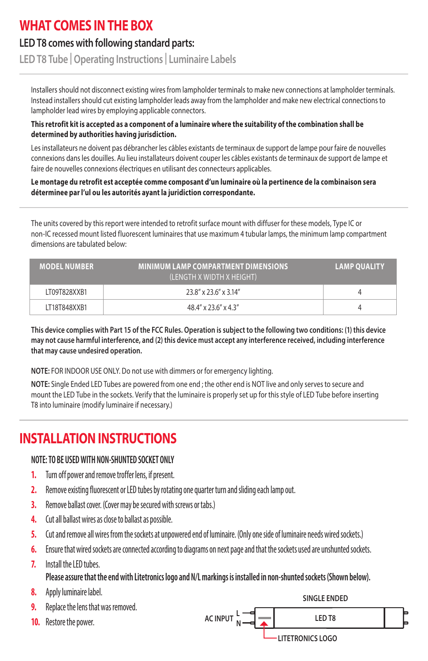## **WHAT COMES IN THE BOX**

### **LED T8 comes with following standard parts:**

**LED T8 Tube | Operating Instructions | Luminaire Labels**

Installers should not disconnect existing wires from lampholder terminals to make new connections at lampholder terminals. Instead installers should cut existing lampholder leads away from the lampholder and make new electrical connections to lampholder lead wires by employing applicable connectors.

#### **This retrofit kit is accepted as a component of a luminaire where the suitability of the combination shall be determined by authorities having jurisdiction.**

Les installateurs ne doivent pas débrancher les câbles existants de terminaux de support de lampe pour faire de nouvelles connexions dans les douilles. Au lieu installateurs doivent couper les câbles existants de terminaux de support de lampe et faire de nouvelles connexions électriques en utilisant des connecteurs applicables.

#### **Le montage du retrofit est acceptée comme composant d'un luminaire où la pertinence de la combinaison sera déterminee par l'ul ou les autorités ayant la juridiction correspondante.**

The units covered by this report were intended to retrofit surface mount with diffuser for these models, Type IC or non-IC recessed mount listed fluorescent luminaires that use maximum 4 tubular lamps, the minimum lamp compartment dimensions are tabulated below:

| <b>MODEL NUMBER</b> | <b>MINIMUM LAMP COMPARTMENT DIMENSIONS</b><br>(LENGTH X WIDTH X HEIGHT) | <b>LAMP QUALITY</b> |
|---------------------|-------------------------------------------------------------------------|---------------------|
| LT09T828XXB1        | 23.8" x 23.6" x 3.14"                                                   |                     |
| LT18T848XXB1        | $48.4'' \times 23.6'' \times 4.3''$                                     |                     |

**This device complies with Part 15 of the FCC Rules. Operation is subject to the following two conditions: (1) this device may not cause harmful interference, and (2) this device must accept any interference received, including interference that may cause undesired operation.**

**NOTE:** FOR INDOOR USE ONLY. Do not use with dimmers or for emergency lighting.

**NOTE:** Single Ended LED Tubes are powered from one end ; the other end is NOT live and only serves to secure and mount the LED Tube in the sockets. Verify that the luminaire is properly set up for this style of LED Tube before inserting T8 into luminaire (modify luminaire if necessary.)

# **INSTALLATION INSTRUCTIONS**

#### **NOTE: TO BE USED WITH NON-SHUNTED SOCKET ONLY**

- **1.** Turn off power and remove troffer lens, if present.
- **2.** Remove existing fluorescent or LED tubes by rotating one quarter turn and sliding each lamp out.
- **3.** Remove ballast cover. (Cover may be secured with screws or tabs.)
- **4.** Cut all ballast wires as close to ballast as possible.
- **5.** Cut and remove all wires from the sockets at unpowered end of luminaire. (Only one side of luminaire needs wired sockets.)
- **6.** Ensure that wired sockets are connected according to diagrams on next page and that the sockets used are unshunted sockets.
- **7.** Install the LED tubes.
	- **Please assure that the end with Litetronics logo and N/L markings is installed in non-shunted sockets (Shown below).**
- **8.** Apply luminaire label.
- **9.** Replace the lens that was removed.
- **10.** Restore the power.

**SINGLE ENDED**

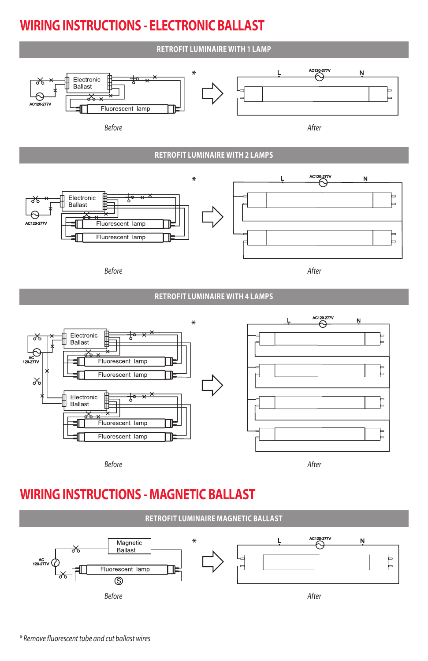# **WIRING INSTRUCTIONS - ELECTRONIC BALLAST**

#### **RETROFIT LUMINAIRE WITH 1 LAMP** N L Electronic **Ballast** Fluorescent lamp *Before After* **RETROFIT LUMINAIRE WITH 2 LAMPS** L Ŋ Electronic ≴ Ballast Fluorescent lamp Fluorescent lamp *Before After* **RETROFIT LUMINAIRE WITH 4 LAMPS** N  $\ast$ Electronic Ballast Fluorescent lamp Fluorescent lamp y Electronic ≭ Ballast E Fluorescent lamp Fluorescent lamp

*Before After*

# **WIRING INSTRUCTIONS - MAGNETIC BALLAST**